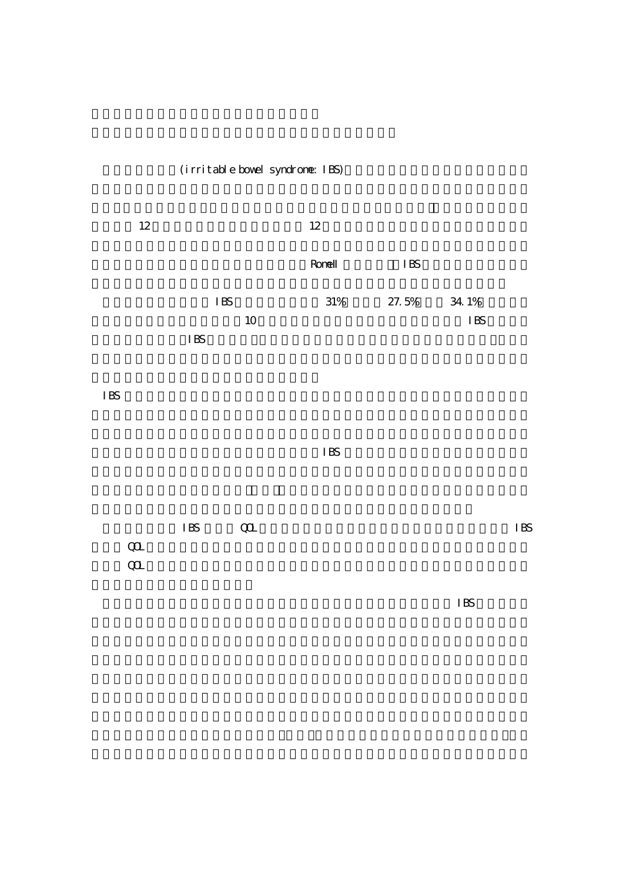(irritable bowel syndrome: IBS)



IBS  $\blacksquare$ 

 $\overline{\text{HS}}$ 

|          | IBS | $\alpha$ | I BS |
|----------|-----|----------|------|
| $\omega$ |     |          |      |
| $\alpha$ |     |          |      |

 $\overline{\phantom{a}}$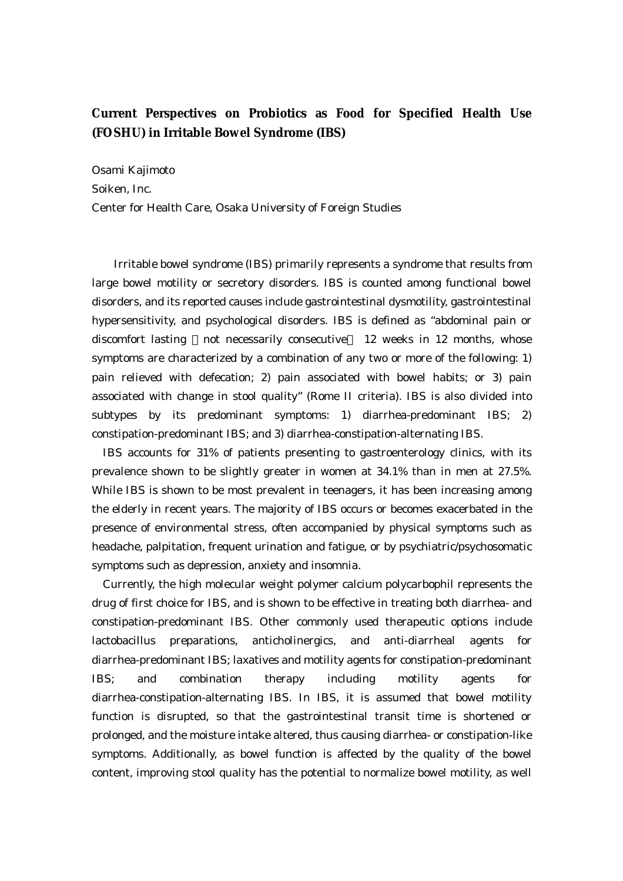## **Current Perspectives on Probiotics as Food for Specified Health Use (FOSHU) in Irritable Bowel Syndrome (IBS)**

Osami Kajimoto Soiken, Inc. Center for Health Care, Osaka University of Foreign Studies

Irritable bowel syndrome (IBS) primarily represents a syndrome that results from large bowel motility or secretory disorders. IBS is counted among functional bowel disorders, and its reported causes include gastrointestinal dysmotility, gastrointestinal hypersensitivity, and psychological disorders. IBS is defined as "abdominal pain or discomfort lasting not necessarily consecutive 12 weeks in 12 months, whose symptoms are characterized by a combination of any two or more of the following: 1) pain relieved with defecation; 2) pain associated with bowel habits; or 3) pain associated with change in stool quality" (Rome II criteria). IBS is also divided into subtypes by its predominant symptoms: 1) diarrhea-predominant IBS; 2) constipation-predominant IBS; and 3) diarrhea-constipation-alternating IBS.

 IBS accounts for 31% of patients presenting to gastroenterology clinics, with its prevalence shown to be slightly greater in women at 34.1% than in men at 27.5%. While IBS is shown to be most prevalent in teenagers, it has been increasing among the elderly in recent years. The majority of IBS occurs or becomes exacerbated in the presence of environmental stress, often accompanied by physical symptoms such as headache, palpitation, frequent urination and fatigue, or by psychiatric/psychosomatic symptoms such as depression, anxiety and insomnia.

 Currently, the high molecular weight polymer calcium polycarbophil represents the drug of first choice for IBS, and is shown to be effective in treating both diarrhea- and constipation-predominant IBS. Other commonly used therapeutic options include lactobacillus preparations, anticholinergics, and anti-diarrheal agents for diarrhea-predominant IBS; laxatives and motility agents for constipation-predominant IBS; and combination therapy including motility agents for diarrhea-constipation-alternating IBS. In IBS, it is assumed that bowel motility function is disrupted, so that the gastrointestinal transit time is shortened or prolonged, and the moisture intake altered, thus causing diarrhea- or constipation-like symptoms. Additionally, as bowel function is affected by the quality of the bowel content, improving stool quality has the potential to normalize bowel motility, as well